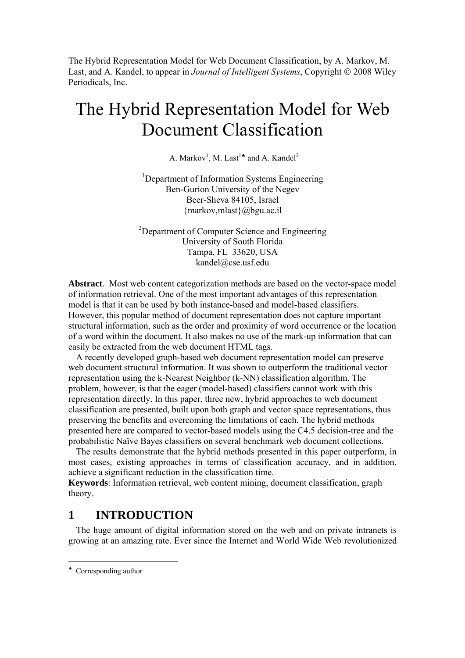The Hybrid Representation Model for Web Document Classification, by A. Markov, M. Last, and A. Kandel, to appear in *Journal of Intelligent Systems*, Copyright © 2008 Wiley Periodicals, Inc.

# The Hybrid Representation Model for Web Document Classification

A. Markov<sup>1</sup>, M. Last<sup>1</sup><sup>\*</sup> and A. Kandel<sup>2</sup>

<sup>1</sup>Department of Information Systems Engineering Ben-Gurion University of the Negev Beer-Sheva 84105, Israel {markov,mlast}@bgu.ac.il

<sup>2</sup>Department of Computer Science and Engineering University of South Florida Tampa, FL 33620, USA kandel@cse.usf.edu

**Abstract**. Most web content categorization methods are based on the vector-space model of information retrieval. One of the most important advantages of this representation model is that it can be used by both instance-based and model-based classifiers. However, this popular method of document representation does not capture important structural information, such as the order and proximity of word occurrence or the location of a word within the document. It also makes no use of the mark-up information that can easily be extracted from the web document HTML tags.

A recently developed graph-based web document representation model can preserve web document structural information. It was shown to outperform the traditional vector representation using the k-Nearest Neighbor (k-NN) classification algorithm. The problem, however, is that the eager (model-based) classifiers cannot work with this representation directly. In this paper, three new, hybrid approaches to web document classification are presented, built upon both graph and vector space representations, thus preserving the benefits and overcoming the limitations of each. The hybrid methods presented here are compared to vector-based models using the C4.5 decision-tree and the probabilistic Naïve Bayes classifiers on several benchmark web document collections.

The results demonstrate that the hybrid methods presented in this paper outperform, in most cases, existing approaches in terms of classification accuracy, and in addition, achieve a significant reduction in the classification time.

**Keywords**: Information retrieval, web content mining, document classification, graph theory.

# **1 INTRODUCTION**

The huge amount of digital information stored on the web and on private intranets is growing at an amazing rate. Ever since the Internet and World Wide Web revolutionized

<sup>♣</sup> Corresponding author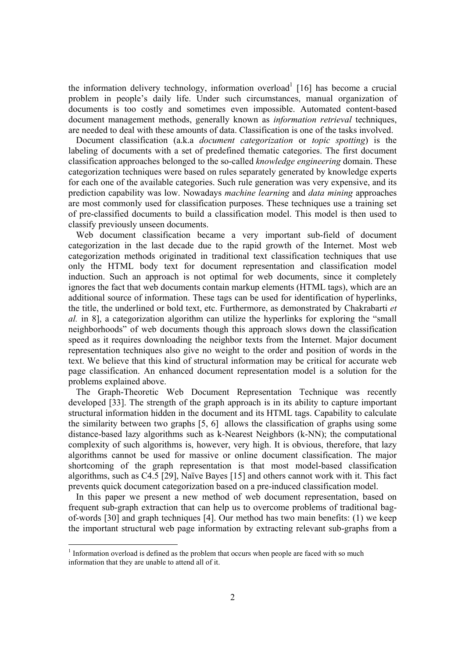the information delivery technology, information overload<sup>1</sup> [16] has become a crucial problem in people's daily life. Under such circumstances, manual organization of documents is too costly and sometimes even impossible. Automated content-based document management methods, generally known as *information retrieval* techniques, are needed to deal with these amounts of data. Classification is one of the tasks involved.

Document classification (a.k.a *document categorization* or *topic spotting*) is the labeling of documents with a set of predefined thematic categories. The first document classification approaches belonged to the so-called *knowledge engineering* domain. These categorization techniques were based on rules separately generated by knowledge experts for each one of the available categories. Such rule generation was very expensive, and its prediction capability was low. Nowadays *machine learning* and *data mining* approaches are most commonly used for classification purposes. These techniques use a training set of pre-classified documents to build a classification model. This model is then used to classify previously unseen documents.

Web document classification became a very important sub-field of document categorization in the last decade due to the rapid growth of the Internet. Most web categorization methods originated in traditional text classification techniques that use only the HTML body text for document representation and classification model induction. Such an approach is not optimal for web documents, since it completely ignores the fact that web documents contain markup elements (HTML tags), which are an additional source of information. These tags can be used for identification of hyperlinks, the title, the underlined or bold text, etc. Furthermore, as demonstrated by Chakrabarti *et al.* in 8], a categorization algorithm can utilize the hyperlinks for exploring the "small neighborhoods" of web documents though this approach slows down the classification speed as it requires downloading the neighbor texts from the Internet. Major document representation techniques also give no weight to the order and position of words in the text. We believe that this kind of structural information may be critical for accurate web page classification. An enhanced document representation model is a solution for the problems explained above.

The Graph-Theoretic Web Document Representation Technique was recently developed [33]. The strength of the graph approach is in its ability to capture important structural information hidden in the document and its HTML tags. Capability to calculate the similarity between two graphs  $[5, 6]$  allows the classification of graphs using some distance-based lazy algorithms such as k-Nearest Neighbors (k-NN); the computational complexity of such algorithms is, however, very high. It is obvious, therefore, that lazy algorithms cannot be used for massive or online document classification. The major shortcoming of the graph representation is that most model-based classification algorithms, such as C4.5 [ 29], Naïve Bayes [ 15] and others cannot work with it. This fact prevents quick document categorization based on a pre-induced classification model.

In this paper we present a new method of web document representation, based on frequent sub-graph extraction that can help us to overcome problems of traditional bagof-words [ 30] and graph techniques [4]. Our method has two main benefits: (1) we keep the important structural web page information by extracting relevant sub-graphs from a

<sup>&</sup>lt;sup>1</sup> Information overload is defined as the problem that occurs when people are faced with so much information that they are unable to attend all of it.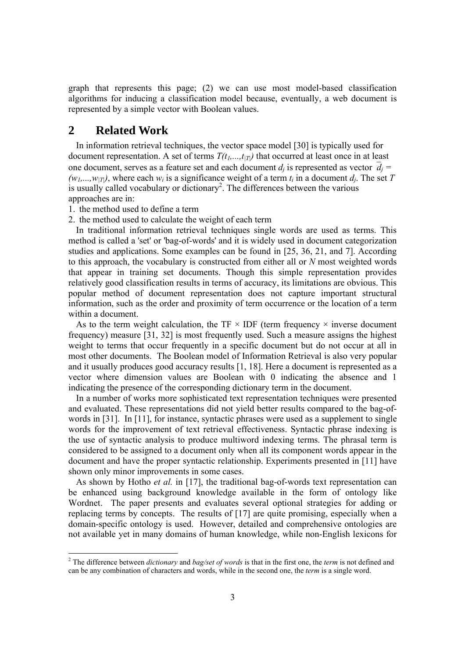graph that represents this page; (2) we can use most model-based classification algorithms for inducing a classification model because, eventually, a web document is represented by a simple vector with Boolean values.

# **2 Related Work**

In information retrieval techniques, the vector space model [30] is typically used for document representation. A set of terms  $T(t_1,...,t_{|T|})$  that occurred at least once in at least one document, serves as a feature set and each document  $d_i$  is represented as vector  $\overline{d_i}$  =  $(w_1,...,w_{|T})$ , where each  $w_i$  is a significance weight of a term  $t_i$  in a document  $d_i$ . The set *T* is usually called vocabulary or dictionary<sup>2</sup>. The differences between the various approaches are in:

1. the method used to define a term

2. the method used to calculate the weight of each term

In traditional information retrieval techniques single words are used as terms. This method is called a 'set' or 'bag-of-words' and it is widely used in document categorization studies and applications. Some examples can be found in [25, 36, 21, and 7]. According to this approach, the vocabulary is constructed from either all or *N* most weighted words that appear in training set documents. Though this simple representation provides relatively good classification results in terms of accuracy, its limitations are obvious. This popular method of document representation does not capture important structural information, such as the order and proximity of term occurrence or the location of a term within a document.

As to the term weight calculation, the TF  $\times$  IDF (term frequency  $\times$  inverse document frequency) measure [31, 32] is most frequently used. Such a measure assigns the highest weight to terms that occur frequently in a specific document but do not occur at all in most other documents. The Boolean model of Information Retrieval is also very popular and it usually produces good accuracy results  $[1, 18]$ . Here a document is represented as a vector where dimension values are Boolean with 0 indicating the absence and 1 indicating the presence of the corresponding dictionary term in the document.

In a number of works more sophisticated text representation techniques were presented and evaluated. These representations did not yield better results compared to the bag-ofwords in  $[31]$ . In  $[11]$ , for instance, syntactic phrases were used as a supplement to single words for the improvement of text retrieval effectiveness. Syntactic phrase indexing is the use of syntactic analysis to produce multiword indexing terms. The phrasal term is considered to be assigned to a document only when all its component words appear in the document and have the proper syntactic relationship. Experiments presented in [ 11] have shown only minor improvements in some cases.

As shown by Hotho *et al.* in [17], the traditional bag-of-words text representation can be enhanced using background knowledge available in the form of ontology like Wordnet. The paper presents and evaluates several optional strategies for adding or replacing terms by concepts. The results of [17] are quite promising, especially when a domain-specific ontology is used. However, detailed and comprehensive ontologies are not available yet in many domains of human knowledge, while non-English lexicons for

<sup>2</sup> The difference between *dictionary* and *bag/set of words* is that in the first one, the *term* is not defined and can be any combination of characters and words, while in the second one, the *term* is a single word.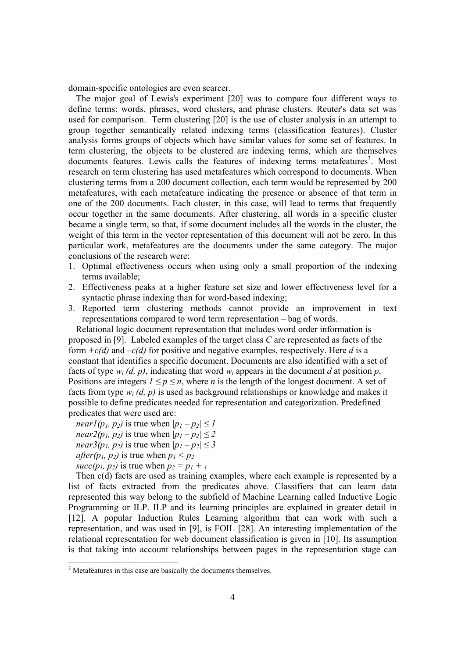domain-specific ontologies are even scarcer.

The major goal of Lewis's experiment [20] was to compare four different ways to define terms: words, phrases, word clusters, and phrase clusters. Reuter's data set was used for comparison. Term clustering [20] is the use of cluster analysis in an attempt to group together semantically related indexing terms (classification features). Cluster analysis forms groups of objects which have similar values for some set of features. In term clustering, the objects to be clustered are indexing terms, which are themselves documents features. Lewis calls the features of indexing terms metafeatures<sup>3</sup>. Most research on term clustering has used metafeatures which correspond to documents. When clustering terms from a 200 document collection, each term would be represented by 200 metafeatures, with each metafeature indicating the presence or absence of that term in one of the 200 documents. Each cluster, in this case, will lead to terms that frequently occur together in the same documents. After clustering, all words in a specific cluster became a single term, so that, if some document includes all the words in the cluster, the weight of this term in the vector representation of this document will not be zero. In this particular work, metafeatures are the documents under the same category. The major conclusions of the research were:

- 1. Optimal effectiveness occurs when using only a small proportion of the indexing terms available;
- 2. Effectiveness peaks at a higher feature set size and lower effectiveness level for a syntactic phrase indexing than for word-based indexing;
- 3. Reported term clustering methods cannot provide an improvement in text representations compared to word term representation – bag of words.

Relational logic document representation that includes word order information is proposed in [ 9]. Labeled examples of the target class *C* are represented as facts of the form *+c(d)* and *–c(d)* for positive and negative examples, respectively. Here *d* is a constant that identifies a specific document. Documents are also identified with a set of facts of type  $w_i$  (*d, p*), indicating that word  $w_i$  appears in the document *d* at position *p*. Positions are integers  $1 \leq p \leq n$ , where *n* is the length of the longest document. A set of facts from type *wi (d, p)* is used as background relationships or knowledge and makes it possible to define predicates needed for representation and categorization. Predefined predicates that were used are:

*nearl(p<sub>1</sub>, p<sub>2</sub>)* is true when  $|p_1 - p_2| \leq 1$ *near*2( $p_1$ ,  $p_2$ ) is true when  $|p_1 - p_2| \le 2$ *near*3(*p<sub>1</sub>, p<sub>2</sub>*) is true when  $|p_1 - p_2| \leq 3$ *after(p<sub>1</sub>, p<sub>2</sub>)* is true when  $p_1 < p_2$ *succ(p<sub>1</sub>, p<sub>2</sub>)* is true when  $p_2 = p_1 + p_2$ 

 $\overline{a}$ 

Then c(d) facts are used as training examples, where each example is represented by a list of facts extracted from the predicates above. Classifiers that can learn data represented this way belong to the subfield of Machine Learning called Inductive Logic Programming or ILP. ILP and its learning principles are explained in greater detail in [ 12]. A popular Induction Rules Learning algorithm that can work with such a representation, and was used in [9], is FOIL [28]. An interesting implementation of the relational representation for web document classification is given in [ 10]. Its assumption is that taking into account relationships between pages in the representation stage can

 $3$  Metafeatures in this case are basically the documents themselves.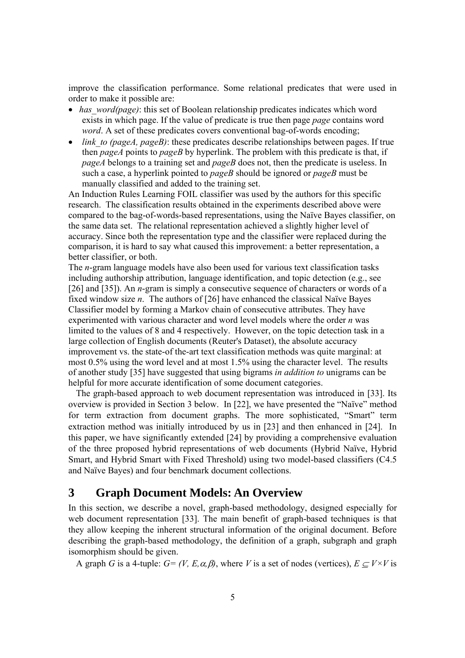improve the classification performance. Some relational predicates that were used in order to make it possible are:

- *has word(page)*: this set of Boolean relationship predicates indicates which word exists in which page. If the value of predicate is true then page *page* contains word *word*. A set of these predicates covers conventional bag-of-words encoding;
- *link to (pageA, pageB)*: these predicates describe relationships between pages. If true then *pageA* points to *pageB* by hyperlink. The problem with this predicate is that, if *pageA* belongs to a training set and *pageB* does not, then the predicate is useless. In such a case, a hyperlink pointed to *pageB* should be ignored or *pageB* must be manually classified and added to the training set.

An Induction Rules Learning FOIL classifier was used by the authors for this specific research. The classification results obtained in the experiments described above were compared to the bag-of-words-based representations, using the Naïve Bayes classifier, on the same data set. The relational representation achieved a slightly higher level of accuracy. Since both the representation type and the classifier were replaced during the comparison, it is hard to say what caused this improvement: a better representation, a better classifier, or both.

The *n*-gram language models have also been used for various text classification tasks including authorship attribution, language identification, and topic detection (e.g., see [26] and [35]). An *n*-gram is simply a consecutive sequence of characters or words of a fixed window size  $n$ . The authors of [26] have enhanced the classical Naïve Bayes Classifier model by forming a Markov chain of consecutive attributes. They have experimented with various character and word level models where the order *n* was limited to the values of 8 and 4 respectively. However, on the topic detection task in a large collection of English documents (Reuter's Dataset), the absolute accuracy improvement vs. the state-of the-art text classification methods was quite marginal: at most 0.5% using the word level and at most 1.5% using the character level. The results of another study [ 35] have suggested that using bigrams *in addition to* unigrams can be helpful for more accurate identification of some document categories.

The graph-based approach to web document representation was introduced in [ 33]. Its overview is provided in Section 3 below. In [22], we have presented the "Naïve" method for term extraction from document graphs. The more sophisticated, "Smart" term extraction method was initially introduced by us in [23] and then enhanced in [24]. In this paper, we have significantly extended [ 24] by providing a comprehensive evaluation of the three proposed hybrid representations of web documents (Hybrid Naïve, Hybrid Smart, and Hybrid Smart with Fixed Threshold) using two model-based classifiers (C4.5 and Naïve Bayes) and four benchmark document collections.

# **3 Graph Document Models: An Overview**

In this section, we describe a novel, graph-based methodology, designed especially for web document representation [33]. The main benefit of graph-based techniques is that they allow keeping the inherent structural information of the original document. Before describing the graph-based methodology, the definition of a graph, subgraph and graph isomorphism should be given.

A graph *G* is a 4-tuple:  $G = (V, E, \alpha, \beta)$ , where *V* is a set of nodes (vertices),  $E \subset V \times V$  is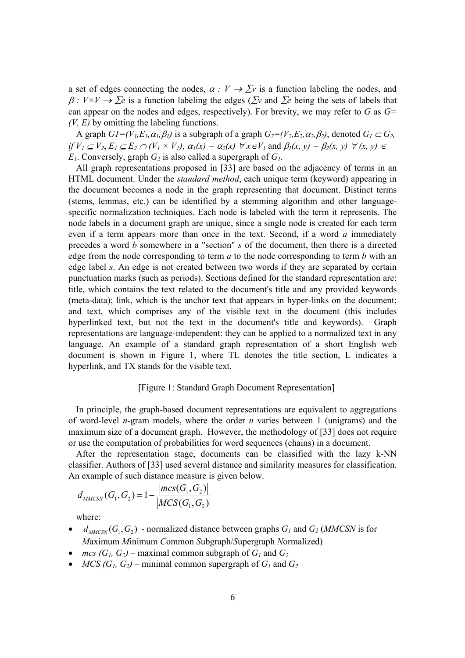a set of edges connecting the nodes,  $\alpha : V \to \Sigma V$  is a function labeling the nodes, and  $\beta$  :  $V\times V \rightarrow \Sigma e$  is a function labeling the edges ( $\Sigma v$  and  $\Sigma e$  being the sets of labels that can appear on the nodes and edges, respectively). For brevity, we may refer to *G* as *G= (V, E)* by omitting the labeling functions.

A graph  $GI = (V_1, E_1, \alpha_1, \beta_1)$  is a subgraph of a graph  $G_2 = (V_2, E_2, \alpha_2, \beta_2)$ , denoted  $G_1 \subseteq G_2$ , *if*  $V_1 \subseteq V_2$ ,  $E_1 \subseteq E_2 \cap (V_1 \times V_1)$ ,  $\alpha_1(x) = \alpha_2(x)$   $\forall x \in V_1$  and  $\beta_1(x, y) = \beta_2(x, y)$   $\forall (x, y) \in$  $E_1$ . Conversely, graph  $G_2$  is also called a supergraph of  $G_1$ .

All graph representations proposed in [33] are based on the adjacency of terms in an HTML document. Under the *standard method*, each unique term (keyword) appearing in the document becomes a node in the graph representing that document. Distinct terms (stems, lemmas, etc.) can be identified by a stemming algorithm and other languagespecific normalization techniques. Each node is labeled with the term it represents. The node labels in a document graph are unique, since a single node is created for each term even if a term appears more than once in the text. Second, if a word *a* immediately precedes a word *b* somewhere in a "section" *s* of the document, then there is a directed edge from the node corresponding to term *a* to the node corresponding to term *b* with an edge label *s*. An edge is not created between two words if they are separated by certain punctuation marks (such as periods). Sections defined for the standard representation are: title, which contains the text related to the document's title and any provided keywords (meta-data); link, which is the anchor text that appears in hyper-links on the document; and text, which comprises any of the visible text in the document (this includes hyperlinked text, but not the text in the document's title and keywords). Graph representations are language-independent: they can be applied to a normalized text in any language. An example of a standard graph representation of a short English web document is shown in Figure 1, where TL denotes the title section, L indicates a hyperlink, and TX stands for the visible text.

#### [Figure 1: Standard Graph Document Representation]

In principle, the graph-based document representations are equivalent to aggregations of word-level *n*-gram models, where the order *n* varies between 1 (unigrams) and the maximum size of a document graph. However, the methodology of [ 33] does not require or use the computation of probabilities for word sequences (chains) in a document.

After the representation stage, documents can be classified with the lazy k-NN classifier. Authors of [33] used several distance and similarity measures for classification. An example of such distance measure is given below.

$$
d_{MMCSN}(G_1, G_2) = 1 - \frac{|mcs(G_1, G_2)|}{|MCS(G_1, G_2)|}
$$

where:

- $d_{MMCSN}(G_1, G_2)$  normalized distance between graphs  $G_1$  and  $G_2$  (*MMCSN* is for *M*aximum *M*inimum *C*ommon *S*ubgraph/*S*upergraph *N*ormalized)
- *mcs*  $(G_1, G_2)$  maximal common subgraph of  $G_1$  and  $G_2$
- $MCS$  ( $G_1$ ,  $G_2$ ) minimal common supergraph of  $G_1$  and  $G_2$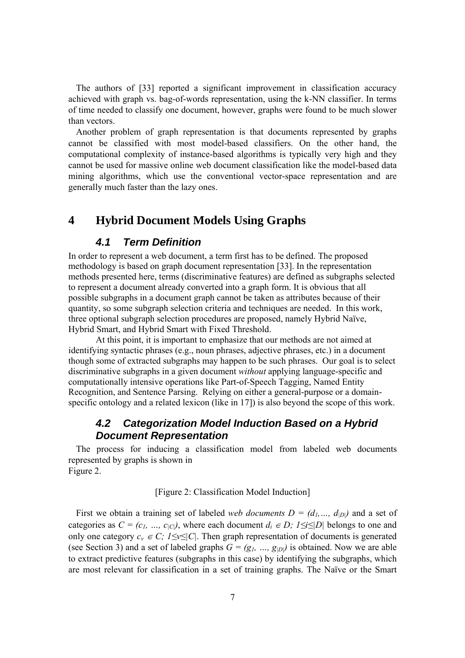The authors of [33] reported a significant improvement in classification accuracy achieved with graph vs. bag-of-words representation, using the k-NN classifier. In terms of time needed to classify one document, however, graphs were found to be much slower than vectors.

Another problem of graph representation is that documents represented by graphs cannot be classified with most model-based classifiers. On the other hand, the computational complexity of instance-based algorithms is typically very high and they cannot be used for massive online web document classification like the model-based data mining algorithms, which use the conventional vector-space representation and are generally much faster than the lazy ones.

# **4 Hybrid Document Models Using Graphs**

#### *4.1 Term Definition*

In order to represent a web document, a term first has to be defined. The proposed methodology is based on graph document representation [ 33]. In the representation methods presented here, terms (discriminative features) are defined as subgraphs selected to represent a document already converted into a graph form. It is obvious that all possible subgraphs in a document graph cannot be taken as attributes because of their quantity, so some subgraph selection criteria and techniques are needed. In this work, three optional subgraph selection procedures are proposed, namely Hybrid Naïve, Hybrid Smart, and Hybrid Smart with Fixed Threshold.

At this point, it is important to emphasize that our methods are not aimed at identifying syntactic phrases (e.g., noun phrases, adjective phrases, etc.) in a document though some of extracted subgraphs may happen to be such phrases. Our goal is to select discriminative subgraphs in a given document *without* applying language-specific and computationally intensive operations like Part-of-Speech Tagging, Named Entity Recognition, and Sentence Parsing. Relying on either a general-purpose or a domainspecific ontology and a related lexicon (like in 17]) is also beyond the scope of this work.

# *4.2 Categorization Model Induction Based on a Hybrid Document Representation*

The process for inducing a classification model from labeled web documents represented by graphs is shown in Figure 2.

[Figure 2: Classification Model Induction]

First we obtain a training set of labeled *web documents*  $D = (d_1, ..., d_{|D|})$  and a set of categories as  $C = (c_1, ..., c_{|C|})$ , where each document  $d_i \in D$ ;  $1 \leq i \leq |D|$  belongs to one and only one category  $c_v \in C$ ;  $1 \le v \le |C|$ . Then graph representation of documents is generated (see Section 3) and a set of labeled graphs  $G = (g_1, ..., g_{|D|})$  is obtained. Now we are able to extract predictive features (subgraphs in this case) by identifying the subgraphs, which are most relevant for classification in a set of training graphs. The Naïve or the Smart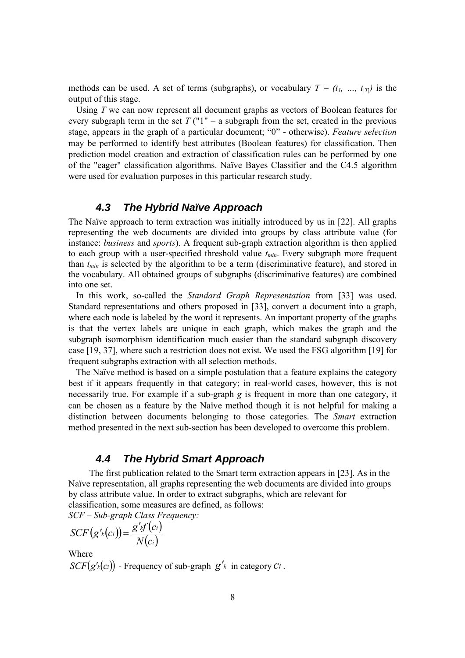methods can be used. A set of terms (subgraphs), or vocabulary  $T = (t_1, ..., t_{|T|})$  is the output of this stage.

Using *T* we can now represent all document graphs as vectors of Boolean features for every subgraph term in the set  $T("1" - a subgraph from the set, created in the previous$ stage, appears in the graph of a particular document; "0" - otherwise). *Feature selection* may be performed to identify best attributes (Boolean features) for classification. Then prediction model creation and extraction of classification rules can be performed by one of the "eager" classification algorithms. Naïve Bayes Classifier and the C4.5 algorithm were used for evaluation purposes in this particular research study.

#### *4.3 The Hybrid Naïve Approach*

The Naïve approach to term extraction was initially introduced by us in [22]. All graphs representing the web documents are divided into groups by class attribute value (for instance: *business* and *sports*). A frequent sub-graph extraction algorithm is then applied to each group with a user-specified threshold value  $t_{min}$ . Every subgraph more frequent than  $t_{min}$  is selected by the algorithm to be a term (discriminative feature), and stored in the vocabulary. All obtained groups of subgraphs (discriminative features) are combined into one set.

In this work, so-called the *Standard Graph Representation* from [33] was used. Standard representations and others proposed in [ 33], convert a document into a graph, where each node is labeled by the word it represents. An important property of the graphs is that the vertex labels are unique in each graph, which makes the graph and the subgraph isomorphism identification much easier than the standard subgraph discovery case [ 19, 37], where such a restriction does not exist. We used the FSG algorithm [ 19] for frequent subgraphs extraction with all selection methods.

The Naïve method is based on a simple postulation that a feature explains the category best if it appears frequently in that category; in real-world cases, however, this is not necessarily true. For example if a sub-graph *g* is frequent in more than one category, it can be chosen as a feature by the Naïve method though it is not helpful for making a distinction between documents belonging to those categories. The *Smart* extraction method presented in the next sub-section has been developed to overcome this problem.

# *4.4 The Hybrid Smart Approach*

The first publication related to the Smart term extraction appears in [23]. As in the Naïve representation, all graphs representing the web documents are divided into groups by class attribute value. In order to extract subgraphs, which are relevant for classification, some measures are defined, as follows:

*SCF – Sub-graph Class Frequency:* 

$$
SCF(g'_{k}(c_{i})) = \frac{g'_{k}f(c_{i})}{N(c_{i})}
$$

Where

*SCF*( $g'_{k}(c_{i})$ ) - Frequency of sub-graph  $g'_{k}$  in category  $c_{i}$ .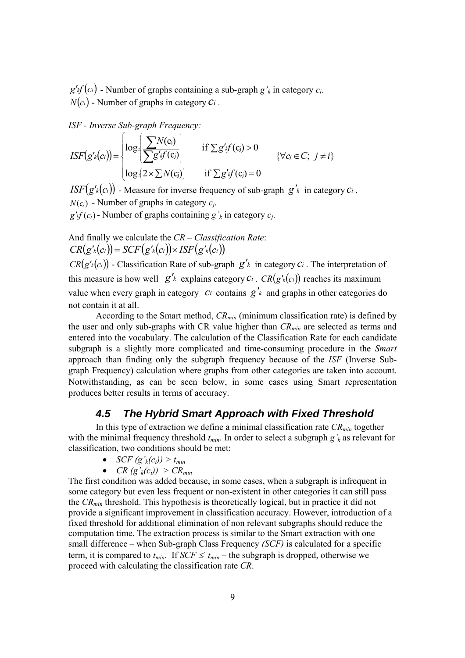$g'$ <sup> $k$ </sup> $f$  $(c_i)$  - Number of graphs containing a sub-graph  $g'$ <sub>k</sub> in category  $c_i$ .  $N(c_i)$  - Number of graphs in category  $ci$ .

*ISF - Inverse Sub-graph Frequency:* 

$$
ISF(g'_{k}(c_{i})) = \begin{cases} \log_{2} \left( \frac{\sum N(c_{i})}{\sum g'_{k}f(c_{i})} \right) & \text{if } \sum g'_{k}f(c_{i}) > 0 \\ \log_{2} \left( 2 \times \sum N(c_{i}) \right) & \text{if } \sum g'_{k}f(c_{i}) = 0 \end{cases} \quad \{ \forall c_{i} \in C; j \neq i \}
$$

*ISF*( $g'_{k}(c_i)$ ) - Measure for inverse frequency of sub-graph  $g'_{k}$  in category  $c_i$ . *N*(*cj*) - Number of graphs in category *cj*.  $g'$ <sub>*kf*</sub> (*c<sub>j</sub>*) - Number of graphs containing  $g'$ <sub>*k*</sub> in category *c<sub>i</sub>*.

And finally we calculate the *CR – Classification Rate*:  $CR(g'_{k}(c_{i})) = SCF(g'_{k}(c_{i})) \times ISF(g'_{k}(c_{i}))$ 

 $CR(g'_{k}(c_{i}))$  - Classification Rate of sub-graph  $g'_{k}$  in category  $c_{i}$ . The interpretation of this measure is how well  $g'$ <sup>*k*</sup> explains category  $c_i$ .  $CR(g'$ <sub>*k*</sub> $(c_i))$  reaches its maximum value when every graph in category  $c_i$  contains  $g'$ <sup>*k*</sup> and graphs in other categories do not contain it at all.

 According to the Smart method, *CRmin* (minimum classification rate) is defined by the user and only sub-graphs with CR value higher than *CRmin* are selected as terms and entered into the vocabulary. The calculation of the Classification Rate for each candidate subgraph is a slightly more complicated and time-consuming procedure in the *Smart* approach than finding only the subgraph frequency because of the *ISF* (Inverse Subgraph Frequency) calculation where graphs from other categories are taken into account. Notwithstanding, as can be seen below, in some cases using Smart representation produces better results in terms of accuracy.

#### *4.5 The Hybrid Smart Approach with Fixed Threshold*

In this type of extraction we define a minimal classification rate *CRmin* together with the minimal frequency threshold  $t_{min}$ . In order to select a subgraph *g'<sub>k</sub>* as relevant for classification, two conditions should be met:

- *SCF*  $(g'_{k}(c_{i})) > t_{min}$
- *CR*  $(g'_{k}(c_i)) > CR_{min}$

The first condition was added because, in some cases, when a subgraph is infrequent in some category but even less frequent or non-existent in other categories it can still pass the *CRmin* threshold. This hypothesis is theoretically logical, but in practice it did not provide a significant improvement in classification accuracy. However, introduction of a fixed threshold for additional elimination of non relevant subgraphs should reduce the computation time. The extraction process is similar to the Smart extraction with one small difference – when Sub-graph Class Frequency *(SCF)* is calculated for a specific term, it is compared to  $t_{min}$ . If  $SCF \leq t_{min}$  – the subgraph is dropped, otherwise we proceed with calculating the classification rate *CR*.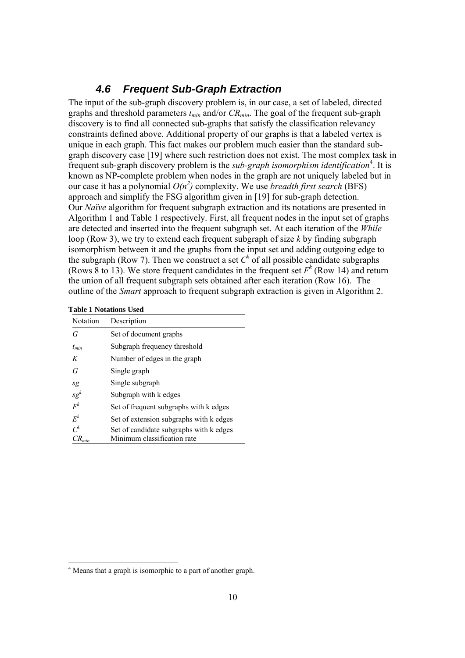# *4.6 Frequent Sub-Graph Extraction*

The input of the sub-graph discovery problem is, in our case, a set of labeled, directed graphs and threshold parameters  $t_{min}$  and/or  $CR_{min}$ . The goal of the frequent sub-graph discovery is to find all connected sub-graphs that satisfy the classification relevancy constraints defined above. Additional property of our graphs is that a labeled vertex is unique in each graph. This fact makes our problem much easier than the standard subgraph discovery case [ 19] where such restriction does not exist. The most complex task in frequent sub-graph discovery problem is the *sub-graph isomorphism identification*<sup>4</sup>. It is known as NP-complete problem when nodes in the graph are not uniquely labeled but in our case it has a polynomial  $O(n^2)$  complexity. We use *breadth first search* (BFS) approach and simplify the FSG algorithm given in [ 19] for sub-graph detection. Our *Naïve* algorithm for frequent subgraph extraction and its notations are presented in Algorithm 1 and Table 1 respectively. First, all frequent nodes in the input set of graphs are detected and inserted into the frequent subgraph set. At each iteration of the *While* loop (Row 3), we try to extend each frequent subgraph of size *k* by finding subgraph isomorphism between it and the graphs from the input set and adding outgoing edge to the subgraph (Row 7). Then we construct a set  $C^k$  of all possible candidate subgraphs (Rows 8 to 13). We store frequent candidates in the frequent set  $F^k$  (Row 14) and return the union of all frequent subgraph sets obtained after each iteration (Row 16). The outline of the *Smart* approach to frequent subgraph extraction is given in Algorithm 2.

 $\overline{a}$ 

| Notation                | Description                             |
|-------------------------|-----------------------------------------|
| G                       | Set of document graphs                  |
| $t_{min}$               | Subgraph frequency threshold            |
| K                       | Number of edges in the graph            |
| G                       | Single graph                            |
| sg                      | Single subgraph                         |
| $sg^k$                  | Subgraph with k edges                   |
| $F^k$                   | Set of frequent subgraphs with k edges  |
| $E^k$                   | Set of extension subgraphs with k edges |
|                         | Set of candidate subgraphs with k edges |
| $C_{\mathcal{K}_{min}}$ | Minimum classification rate             |

<sup>&</sup>lt;sup>4</sup> Means that a graph is isomorphic to a part of another graph.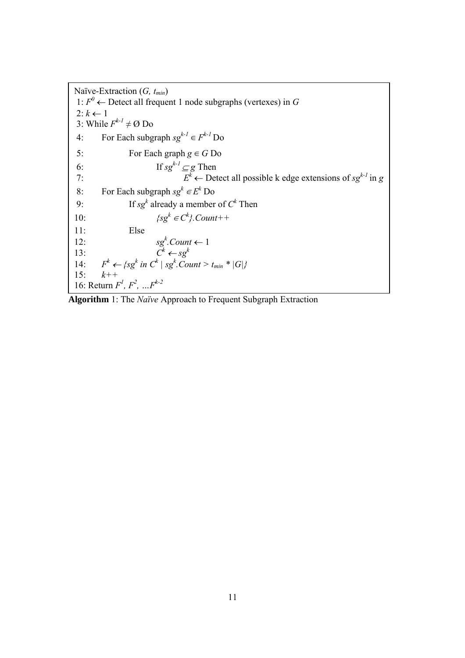Naïve-Extraction (*G*,  $t_{min}$ ) 1:  $F^0$  ← Detect all frequent 1 node subgraphs (vertexes) in *G* 2:  $k \leftarrow 1$ 3: While  $F^{k-1} \neq \emptyset$  Do 4: For Each subgraph  $sg^{k-1} \in F^{k-1}$  Do 5: For Each graph  $g \in G$  Do 6: If  $sg^{k-1} \subseteq g$  Then 7:  $E^k \leftarrow$  Detect all possible k edge extensions of  $sg^{k-1}$  in *g* 8: For Each subgraph  $sg^k \in E^k$  Do 9: If  $sg^k$  already a member of  $C^k$  Then 10:  ${ss^k \in C^k}$ . *Count*++ 11: Else 12:  $sg^k \text{.} Count \leftarrow 1$ 13:  $C^k \leftarrow s g^k$ 14:  $F^k \leftarrow \{ sg^k \text{ in } C^k \mid sg^k \text{. Count} > t_{min} * |G| \}$ 15: *k++* 16: Return  $F^l$ ,  $F^2$ , ...  $F^{k-2}$ 

**Algorithm** 1: The *Naïve* Approach to Frequent Subgraph Extraction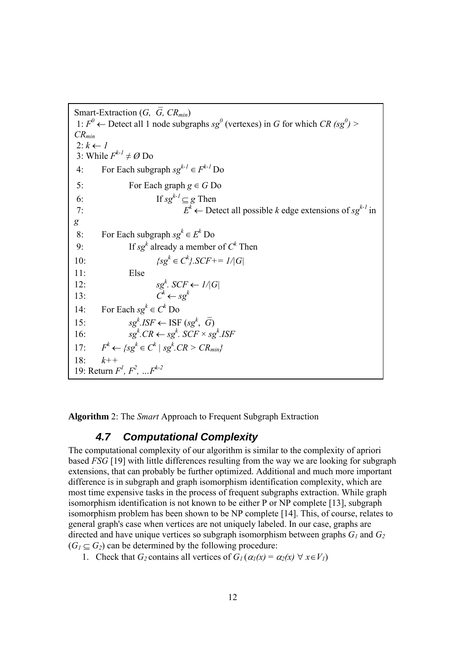Smart-Extraction  $(G, \bar{G}, CR_{min})$ 1:  $F^0$  ← Detect all 1 node subgraphs  $sg^0$  (vertexes) in *G* for which *CR* (sg<sup>0</sup>) > *CRmin*  $2: k \leftarrow I$ 3: While  $F^{k-1}$  ≠ Ø Do 4: For Each subgraph  $sg^{k-1} \in F^{k-1}$  Do 5: For Each graph  $g \in G$  Do 6: If  $sg^{k-1} \subseteq g$  Then 7:  $E^k$  ← Detect all possible *k* edge extensions of  $sg^{k-1}$  in *g* 8: For Each subgraph  $sg^k \in E^k$  Do 9: If  $sg^k$  already a member of  $C^k$  Then 10:  ${ssg^k \in C^k}.SCF = 1/[G]$ 11: Else 12:  $sg^k$ ,  $SCF \leftarrow 1/|G|$ 13:  $\overline{C}^k \leftarrow s g^k$ 14: For Each  $sg^k \in C^k$  Do 15:  $sg^k \text{ISF} \leftarrow \text{ISF} (sg^k, \overline{G})$ 16: *sg*  $k$ *.CR*  $\leftarrow$  *sg*<sup>*k*</sup>*.SCF*  $\times$  *sg*<sup>*k*</sup>*.ISF* 17:  $F^k \leftarrow \{ sg^k \in C^k \mid sg^k.CR > CR_{min} \}$ 18: *k++*  19: Return  $F^1$ ,  $F^2$ , ...  $F^{k-2}$ 

**Algorithm** 2: The *Smart* Approach to Frequent Subgraph Extraction

## *4.7 Computational Complexity*

The computational complexity of our algorithm is similar to the complexity of apriori based *FSG* [ 19] with little differences resulting from the way we are looking for subgraph extensions, that can probably be further optimized. Additional and much more important difference is in subgraph and graph isomorphism identification complexity, which are most time expensive tasks in the process of frequent subgraphs extraction. While graph isomorphism identification is not known to be either P or NP complete [ 13], subgraph isomorphism problem has been shown to be NP complete [ 14]. This, of course, relates to general graph's case when vertices are not uniquely labeled. In our case, graphs are directed and have unique vertices so subgraph isomorphism between graphs  $G_1$  and  $G_2$  $(G_1 \subset G_2)$  can be determined by the following procedure:

1. Check that *G<sub>2</sub>* contains all vertices of  $G_1(\alpha_1(x) = \alpha_2(x) \ \forall \ x \in V_1$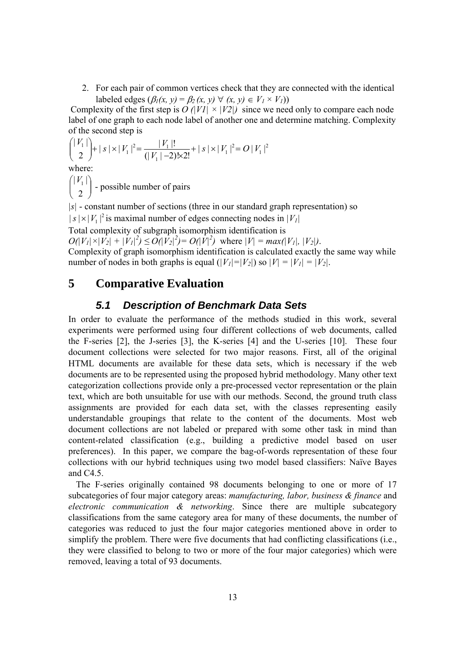2. For each pair of common vertices check that they are connected with the identical labeled edges  $(\beta_1(x, y) = \beta_2(x, y) \ \forall (x, y) \in V_1 \times V_1)$ 

Complexity of the first step is  $O(|V| \times |V2|)$  since we need only to compare each node label of one graph to each node label of another one and determine matching. Complexity of the second step is

$$
\binom{|V_1|}{2} + |s| \times |V_1|^2 = \frac{|V_1|!}{(|V_1| - 2) \times 2!} + |s| \times |V_1|^2 = O(|V_1|^2)
$$

where:  $\sqrt{}$ 

 $\overline{\phantom{a}}$ ⎝

 $\sqrt{ }$ ⎠ ⎞ 2  $\begin{bmatrix} V_1 \\ \vdots \end{bmatrix}$  - possible number of pairs

*|s|* - constant number of sections (three in our standard graph representation) so

 $|s| \times |V_1|^2$  is maximal number of edges connecting nodes in  $|V_1|$ 

Total complexity of subgraph isomorphism identification is

 $O(|V_1| \times |V_2| + |V_1|^2) \le O(|V_2|^2) = O(|V_1|^2)$  where  $|V| = max(|V_1|, |V_2|)$ .

Complexity of graph isomorphism identification is calculated exactly the same way while number of nodes in both graphs is equal  $(|V_1|=|V_2|)$  so  $|V| = |V_1| = |V_2|$ .

# **5 Comparative Evaluation**

# *5.1 Description of Benchmark Data Sets*

In order to evaluate the performance of the methods studied in this work, several experiments were performed using four different collections of web documents, called the F-series  $[2]$ , the J-series  $[3]$ , the K-series  $[4]$  and the U-series  $[10]$ . These four document collections were selected for two major reasons. First, all of the original HTML documents are available for these data sets, which is necessary if the web documents are to be represented using the proposed hybrid methodology. Many other text categorization collections provide only a pre-processed vector representation or the plain text, which are both unsuitable for use with our methods. Second, the ground truth class assignments are provided for each data set, with the classes representing easily understandable groupings that relate to the content of the documents. Most web document collections are not labeled or prepared with some other task in mind than content-related classification (e.g., building a predictive model based on user preferences). In this paper, we compare the bag-of-words representation of these four collections with our hybrid techniques using two model based classifiers: Naïve Bayes and C4.5.

The F-series originally contained 98 documents belonging to one or more of 17 subcategories of four major category areas: *manufacturing, labor, business & finance* and *electronic communication & networking*. Since there are multiple subcategory classifications from the same category area for many of these documents, the number of categories was reduced to just the four major categories mentioned above in order to simplify the problem. There were five documents that had conflicting classifications (i.e., they were classified to belong to two or more of the four major categories) which were removed, leaving a total of 93 documents.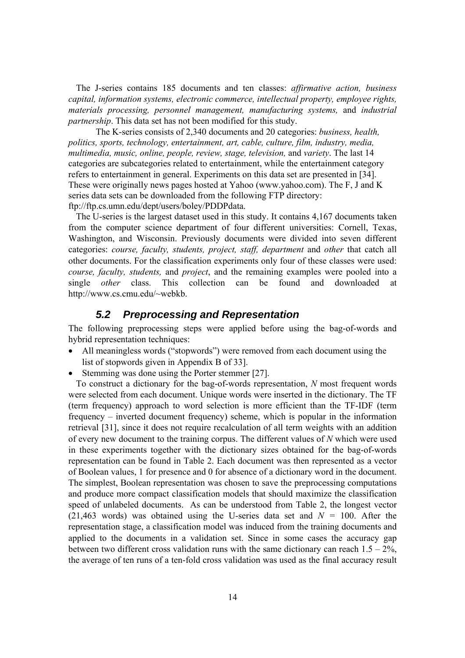The J-series contains 185 documents and ten classes: *affirmative action, business capital, information systems, electronic commerce, intellectual property, employee rights, materials processing, personnel management, manufacturing systems,* and *industrial partnership*. This data set has not been modified for this study.

The K-series consists of 2,340 documents and 20 categories: *business, health, politics, sports, technology, entertainment, art, cable, culture, film, industry, media, multimedia, music, online, people, review, stage, television,* and *variety*. The last 14 categories are subcategories related to entertainment, while the entertainment category refers to entertainment in general. Experiments on this data set are presented in [34]. These were originally news pages hosted at Yahoo (www.yahoo.com). The F, J and K series data sets can be downloaded from the following FTP directory: ftp://ftp.cs.umn.edu/dept/users/boley/PDDPdata.

The U-series is the largest dataset used in this study. It contains 4,167 documents taken from the computer science department of four different universities: Cornell, Texas, Washington, and Wisconsin. Previously documents were divided into seven different categories: *course, faculty, students, project, staff, department* and *other* that catch all other documents. For the classification experiments only four of these classes were used: *course, faculty, students,* and *project*, and the remaining examples were pooled into a single *other* class. This collection can be found and downloaded http://www.cs.cmu.edu/~webkb.

#### *5.2 Preprocessing and Representation*

The following preprocessing steps were applied before using the bag-of-words and hybrid representation techniques:

- All meaningless words ("stopwords") were removed from each document using the list of stopwords given in Appendix B of 33].
- Stemming was done using the Porter stemmer [27].

To construct a dictionary for the bag-of-words representation, *N* most frequent words were selected from each document. Unique words were inserted in the dictionary. The TF (term frequency) approach to word selection is more efficient than the TF-IDF (term frequency – inverted document frequency) scheme, which is popular in the information retrieval [ 31], since it does not require recalculation of all term weights with an addition of every new document to the training corpus. The different values of *N* which were used in these experiments together with the dictionary sizes obtained for the bag-of-words representation can be found in Table 2. Each document was then represented as a vector of Boolean values, 1 for presence and 0 for absence of a dictionary word in the document. The simplest, Boolean representation was chosen to save the preprocessing computations and produce more compact classification models that should maximize the classification speed of unlabeled documents. As can be understood from Table 2, the longest vector (21,463 words) was obtained using the U-series data set and  $N = 100$ . After the representation stage, a classification model was induced from the training documents and applied to the documents in a validation set. Since in some cases the accuracy gap between two different cross validation runs with the same dictionary can reach  $1.5 - 2\%$ , the average of ten runs of a ten-fold cross validation was used as the final accuracy result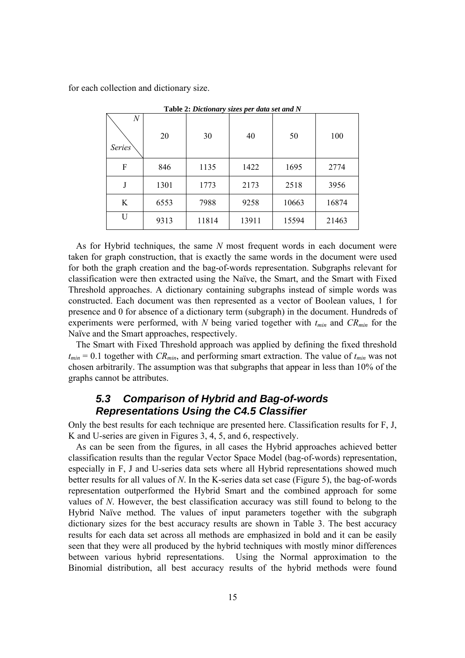for each collection and dictionary size.

| $\boldsymbol{N}$<br>Series | 20   | $\tilde{\phantom{a}}$<br>30 | <b>I</b><br>40 | 50    | 100   |
|----------------------------|------|-----------------------------|----------------|-------|-------|
| F                          | 846  | 1135                        | 1422           | 1695  | 2774  |
| J                          | 1301 | 1773                        | 2173           | 2518  | 3956  |
| K                          | 6553 | 7988                        | 9258           | 10663 | 16874 |
| U                          | 9313 | 11814                       | 13911          | 15594 | 21463 |

**Table 2:** *Dictionary sizes per data set and N* 

As for Hybrid techniques, the same *N* most frequent words in each document were taken for graph construction, that is exactly the same words in the document were used for both the graph creation and the bag-of-words representation. Subgraphs relevant for classification were then extracted using the Naïve, the Smart, and the Smart with Fixed Threshold approaches. A dictionary containing subgraphs instead of simple words was constructed. Each document was then represented as a vector of Boolean values, 1 for presence and 0 for absence of a dictionary term (subgraph) in the document. Hundreds of experiments were performed, with *N* being varied together with  $t_{min}$  and  $CR_{min}$  for the Naïve and the Smart approaches, respectively.

The Smart with Fixed Threshold approach was applied by defining the fixed threshold  $t_{min} = 0.1$  together with  $CR_{min}$ , and performing smart extraction. The value of  $t_{min}$  was not chosen arbitrarily. The assumption was that subgraphs that appear in less than 10% of the graphs cannot be attributes.

# *5.3 Comparison of Hybrid and Bag-of-words Representations Using the C4.5 Classifier*

Only the best results for each technique are presented here. Classification results for F, J, K and U-series are given in Figures 3, 4, 5, and 6, respectively.

As can be seen from the figures, in all cases the Hybrid approaches achieved better classification results than the regular Vector Space Model (bag-of-words) representation, especially in F, J and U-series data sets where all Hybrid representations showed much better results for all values of *N*. In the K-series data set case (Figure 5), the bag-of-words representation outperformed the Hybrid Smart and the combined approach for some values of *N*. However, the best classification accuracy was still found to belong to the Hybrid Naïve method. The values of input parameters together with the subgraph dictionary sizes for the best accuracy results are shown in Table 3. The best accuracy results for each data set across all methods are emphasized in bold and it can be easily seen that they were all produced by the hybrid techniques with mostly minor differences between various hybrid representations. Using the Normal approximation to the Binomial distribution, all best accuracy results of the hybrid methods were found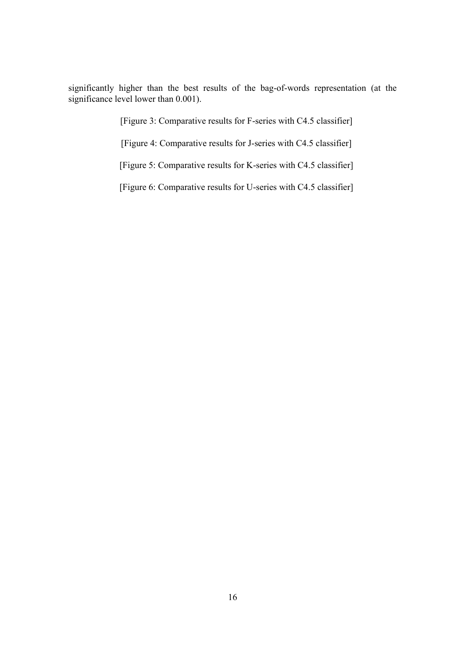significantly higher than the best results of the bag-of-words representation (at the significance level lower than 0.001).

[Figure 3: Comparative results for F-series with C4.5 classifier]

[Figure 4: Comparative results for J-series with C4.5 classifier]

[Figure 5: Comparative results for K-series with C4.5 classifier]

[Figure 6: Comparative results for U-series with C4.5 classifier]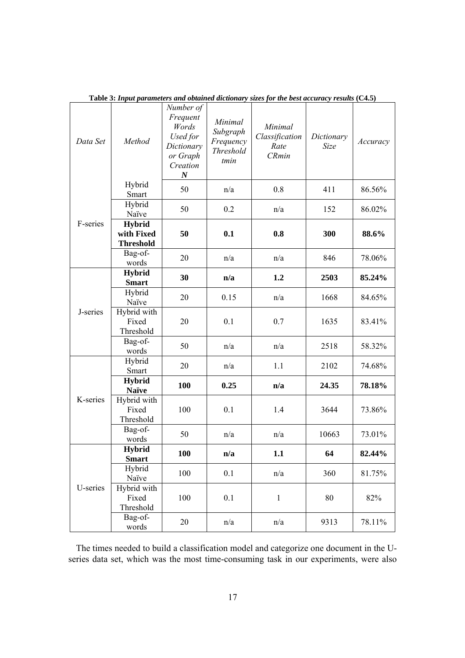| Data Set | Method                                          | Number of<br>Frequent<br>Words<br>Used for<br>Dictionary<br>or Graph<br>Creation<br>$\boldsymbol{N}$ | Minimal<br>Subgraph<br>Frequency<br>Threshold<br>tmin | Minimal<br>Classification<br>Rate<br><b>CRmin</b> | Dictionary<br>Size | Accuracy |
|----------|-------------------------------------------------|------------------------------------------------------------------------------------------------------|-------------------------------------------------------|---------------------------------------------------|--------------------|----------|
|          | Hybrid<br>Smart                                 | 50                                                                                                   | n/a                                                   | 0.8                                               | 411                | 86.56%   |
|          | Hybrid<br>Naïve                                 | 50                                                                                                   | 0.2                                                   | n/a                                               | 152                | 86.02%   |
| F-series | <b>Hybrid</b><br>with Fixed<br><b>Threshold</b> | 50                                                                                                   | 0.1                                                   | 0.8                                               | 300                | 88.6%    |
|          | Bag-of-<br>words                                | 20                                                                                                   | n/a                                                   | n/a                                               | 846                | 78.06%   |
| J-series | <b>Hybrid</b><br><b>Smart</b>                   | 30                                                                                                   | n/a                                                   | 1.2                                               | 2503               | 85.24%   |
|          | Hybrid<br>Naïve                                 | 20                                                                                                   | 0.15                                                  | n/a                                               | 1668               | 84.65%   |
|          | Hybrid with<br>Fixed<br>Threshold               | 20                                                                                                   | 0.1                                                   | 0.7                                               | 1635               | 83.41%   |
|          | Bag-of-<br>words                                | 50                                                                                                   | n/a                                                   | n/a                                               | 2518               | 58.32%   |
| K-series | Hybrid<br>Smart                                 | 20                                                                                                   | n/a                                                   | 1.1                                               | 2102               | 74.68%   |
|          | <b>Hybrid</b><br><b>Naïve</b>                   | 100                                                                                                  | 0.25                                                  | n/a                                               | 24.35              | 78.18%   |
|          | Hybrid with<br>Fixed<br>Threshold               | 100                                                                                                  | 0.1                                                   | 1.4                                               | 3644               | 73.86%   |
|          | Bag-of-<br>words                                | 50                                                                                                   | n/a                                                   | n/a                                               | 10663              | 73.01%   |
| U-series | <b>Hybrid</b><br><b>Smart</b>                   | 100                                                                                                  | n/a                                                   | 1.1                                               | 64                 | 82.44%   |
|          | Hybrid<br>Naïve                                 | 100                                                                                                  | 0.1                                                   | n/a                                               | 360                | 81.75%   |
|          | Hybrid with<br>Fixed<br>Threshold               | 100                                                                                                  | 0.1                                                   | $\mathbf{1}$                                      | 80                 | 82%      |
|          | Bag-of-<br>words                                | 20                                                                                                   | n/a                                                   | n/a                                               | 9313               | 78.11%   |

**Table 3:** *Input parameters and obtained dictionary sizes for the best accuracy results* **(C4.5)** 

The times needed to build a classification model and categorize one document in the Useries data set, which was the most time-consuming task in our experiments, were also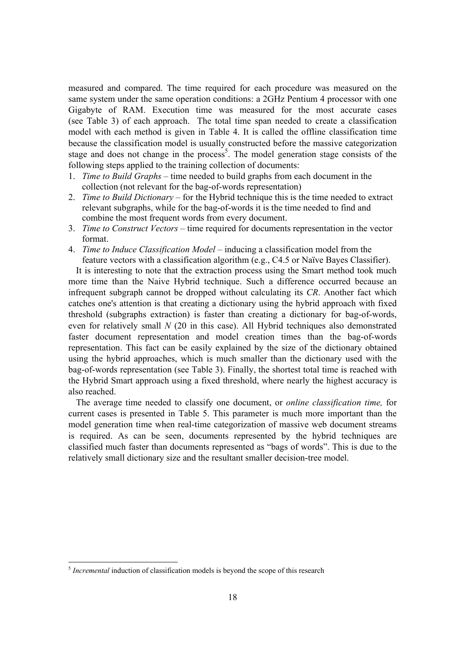measured and compared. The time required for each procedure was measured on the same system under the same operation conditions: a 2GHz Pentium 4 processor with one Gigabyte of RAM. Execution time was measured for the most accurate cases (see Table 3) of each approach. The total time span needed to create a classification model with each method is given in Table 4. It is called the offline classification time because the classification model is usually constructed before the massive categorization stage and does not change in the process<sup>5</sup>. The model generation stage consists of the following steps applied to the training collection of documents:

- 1. *Time to Build Graphs* time needed to build graphs from each document in the collection (not relevant for the bag-of-words representation)
- 2. *Time to Build Dictionary* for the Hybrid technique this is the time needed to extract relevant subgraphs, while for the bag-of-words it is the time needed to find and combine the most frequent words from every document.
- 3. *Time to Construct Vectors* time required for documents representation in the vector format.
- 4. *Time to Induce Classification Model* inducing a classification model from the feature vectors with a classification algorithm (e.g., C4.5 or Naïve Bayes Classifier).

It is interesting to note that the extraction process using the Smart method took much more time than the Naive Hybrid technique. Such a difference occurred because an infrequent subgraph cannot be dropped without calculating its *CR*. Another fact which catches one's attention is that creating a dictionary using the hybrid approach with fixed threshold (subgraphs extraction) is faster than creating a dictionary for bag-of-words, even for relatively small *N* (20 in this case). All Hybrid techniques also demonstrated faster document representation and model creation times than the bag-of-words representation. This fact can be easily explained by the size of the dictionary obtained using the hybrid approaches, which is much smaller than the dictionary used with the bag-of-words representation (see Table 3). Finally, the shortest total time is reached with the Hybrid Smart approach using a fixed threshold, where nearly the highest accuracy is also reached.

The average time needed to classify one document, or *online classification time,* for current cases is presented in Table 5. This parameter is much more important than the model generation time when real-time categorization of massive web document streams is required. As can be seen, documents represented by the hybrid techniques are classified much faster than documents represented as "bags of words". This is due to the relatively small dictionary size and the resultant smaller decision-tree model.

 $\overline{a}$ 

<sup>&</sup>lt;sup>5</sup> *Incremental* induction of classification models is beyond the scope of this research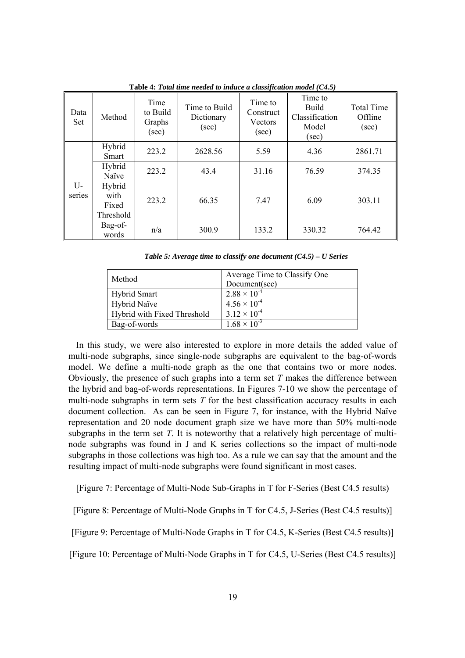| Data<br>Set    | Method                               | Time<br>to Build<br>Graphs<br>(sec) | Time to Build<br>Dictionary<br>(sec) | Time to<br>Construct<br>Vectors<br>(sec) | Time to<br><b>Build</b><br>Classification<br>Model<br>(sec) | <b>Total Time</b><br>Offline<br>(sec) |
|----------------|--------------------------------------|-------------------------------------|--------------------------------------|------------------------------------------|-------------------------------------------------------------|---------------------------------------|
|                | Hybrid<br>Smart                      | 223.2                               | 2628.56                              | 5.59                                     | 4.36                                                        | 2861.71                               |
|                | Hybrid<br>Naïve                      | 223.2                               | 43.4                                 | 31.16                                    | 76.59                                                       | 374.35                                |
| $U-$<br>series | Hybrid<br>with<br>Fixed<br>Threshold | 223.2                               | 66.35                                | 7.47                                     | 6.09                                                        | 303.11                                |
|                | Bag-of-<br>words                     | n/a                                 | 300.9                                | 133.2                                    | 330.32                                                      | 764.42                                |

**Table 4:** *Total time needed to induce a classification model (C4.5)* 

| Table 5: Average time to classify one document $(C4.5)$ – U Series |  |  |  |  |  |  |  |  |  |
|--------------------------------------------------------------------|--|--|--|--|--|--|--|--|--|
|--------------------------------------------------------------------|--|--|--|--|--|--|--|--|--|

| Method                      | Average Time to Classify One<br>Document(sec) |
|-----------------------------|-----------------------------------------------|
| <b>Hybrid Smart</b>         | $2.88 \times 10^{-4}$                         |
| Hybrid Naïve                | $4.56 \times 10^{-4}$                         |
| Hybrid with Fixed Threshold | $3.12 \times 10^{-4}$                         |
| Bag-of-words                | $1.68 \times 10^{-3}$                         |
|                             |                                               |

In this study, we were also interested to explore in more details the added value of multi-node subgraphs, since single-node subgraphs are equivalent to the bag-of-words model. We define a multi-node graph as the one that contains two or more nodes. Obviously, the presence of such graphs into a term set *T* makes the difference between the hybrid and bag-of-words representations. In Figures 7-10 we show the percentage of multi-node subgraphs in term sets *T* for the best classification accuracy results in each document collection. As can be seen in Figure 7, for instance, with the Hybrid Naïve representation and 20 node document graph size we have more than 50% multi-node subgraphs in the term set *T*. It is noteworthy that a relatively high percentage of multinode subgraphs was found in J and K series collections so the impact of multi-node subgraphs in those collections was high too. As a rule we can say that the amount and the resulting impact of multi-node subgraphs were found significant in most cases.

[Figure 7: Percentage of Multi-Node Sub-Graphs in T for F-Series (Best C4.5 results)

[Figure 8: Percentage of Multi-Node Graphs in T for C4.5, J-Series (Best C4.5 results)]

[Figure 9: Percentage of Multi-Node Graphs in T for C4.5, K-Series (Best C4.5 results)]

[Figure 10: Percentage of Multi-Node Graphs in T for C4.5, U-Series (Best C4.5 results)]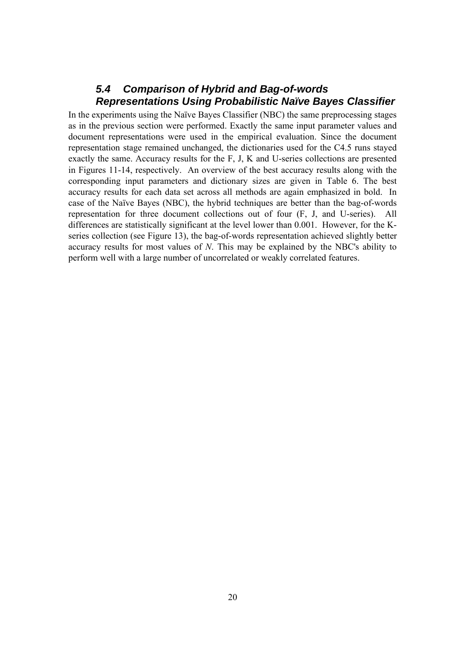# *5.4 Comparison of Hybrid and Bag-of-words Representations Using Probabilistic Naïve Bayes Classifier*

In the experiments using the Naïve Bayes Classifier (NBC) the same preprocessing stages as in the previous section were performed. Exactly the same input parameter values and document representations were used in the empirical evaluation. Since the document representation stage remained unchanged, the dictionaries used for the C4.5 runs stayed exactly the same. Accuracy results for the F, J, K and U-series collections are presented in Figures 11-14, respectively. An overview of the best accuracy results along with the corresponding input parameters and dictionary sizes are given in Table 6. The best accuracy results for each data set across all methods are again emphasized in bold. In case of the Naïve Bayes (NBC), the hybrid techniques are better than the bag-of-words representation for three document collections out of four (F, J, and U-series). All differences are statistically significant at the level lower than 0.001. However, for the Kseries collection (see Figure 13), the bag-of-words representation achieved slightly better accuracy results for most values of *N*. This may be explained by the NBC's ability to perform well with a large number of uncorrelated or weakly correlated features.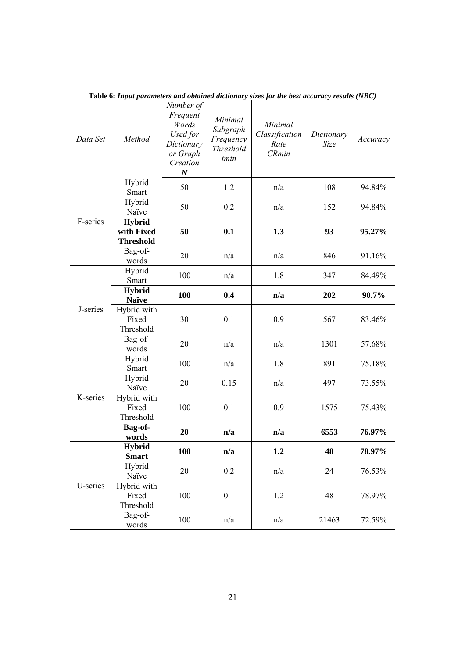| Data Set | Method                                          | Number of<br>Frequent<br>Words<br>Used for<br>Dictionary<br>or Graph<br>Creation<br>$\boldsymbol{N}$ | Minimal<br>Subgraph<br>Frequency<br>Threshold<br>tmin | Minimal<br>Classification<br>Rate<br>CRmin | Dictionary<br><b>Size</b> | Accuracy |
|----------|-------------------------------------------------|------------------------------------------------------------------------------------------------------|-------------------------------------------------------|--------------------------------------------|---------------------------|----------|
|          | Hybrid<br>Smart                                 | 50                                                                                                   | 1.2                                                   | n/a                                        | 108                       | 94.84%   |
|          | Hybrid<br>Naïve                                 | 50                                                                                                   | 0.2                                                   | n/a                                        | 152                       | 94.84%   |
| F-series | <b>Hybrid</b><br>with Fixed<br><b>Threshold</b> | 50                                                                                                   | 0.1                                                   | 1.3                                        | 93                        | 95.27%   |
|          | Bag-of-<br>words                                | 20                                                                                                   | n/a                                                   | n/a                                        | 846                       | 91.16%   |
| J-series | Hybrid<br>Smart                                 | 100                                                                                                  | n/a                                                   | 1.8                                        | 347                       | 84.49%   |
|          | <b>Hybrid</b><br><b>Naïve</b>                   | 100                                                                                                  | 0.4                                                   | n/a                                        | 202                       | 90.7%    |
|          | Hybrid with<br>Fixed<br>Threshold               | 30                                                                                                   | 0.1                                                   | 0.9                                        | 567                       | 83.46%   |
|          | Bag-of-<br>words                                | 20                                                                                                   | n/a                                                   | n/a                                        | 1301                      | 57.68%   |
|          | Hybrid<br>Smart                                 | 100                                                                                                  | n/a                                                   | 1.8                                        | 891                       | 75.18%   |
|          | Hybrid<br>Naïve                                 | 20                                                                                                   | 0.15                                                  | n/a                                        | 497                       | 73.55%   |
| K-series | Hybrid with<br>Fixed<br>Threshold               | 100                                                                                                  | 0.1                                                   | 0.9                                        | 1575                      | 75.43%   |
|          | Bag-of-<br>words                                | 20                                                                                                   | n/a                                                   | n/a                                        | 6553                      | 76.97%   |
| U-series | <b>Hybrid</b><br><b>Smart</b>                   | <b>100</b>                                                                                           | n/a                                                   | 1.2                                        | 48                        | 78.97%   |
|          | Hybrid<br>Naïve                                 | 20                                                                                                   | 0.2                                                   | n/a                                        | 24                        | 76.53%   |
|          | Hybrid with<br>Fixed<br>Threshold               | 100                                                                                                  | 0.1                                                   | 1.2                                        | 48                        | 78.97%   |
|          | Bag-of-<br>words                                | 100                                                                                                  | n/a                                                   | n/a                                        | 21463                     | 72.59%   |

**Table 6:** *Input parameters and obtained dictionary sizes for the best accuracy results (NBC)*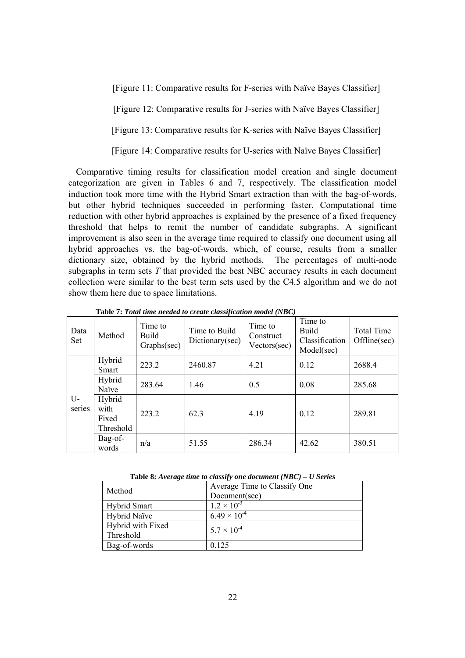[Figure 11: Comparative results for F-series with Naïve Bayes Classifier]

[Figure 12: Comparative results for J-series with Naïve Bayes Classifier]

[Figure 13: Comparative results for K-series with Naïve Bayes Classifier]

[Figure 14: Comparative results for U-series with Naïve Bayes Classifier]

Comparative timing results for classification model creation and single document categorization are given in Tables 6 and 7, respectively. The classification model induction took more time with the Hybrid Smart extraction than with the bag-of-words, but other hybrid techniques succeeded in performing faster. Computational time reduction with other hybrid approaches is explained by the presence of a fixed frequency threshold that helps to remit the number of candidate subgraphs. A significant improvement is also seen in the average time required to classify one document using all hybrid approaches vs. the bag-of-words, which, of course, results from a smaller dictionary size, obtained by the hybrid methods. The percentages of multi-node subgraphs in term sets *T* that provided the best NBC accuracy results in each document collection were similar to the best term sets used by the C4.5 algorithm and we do not show them here due to space limitations.

| Data<br>Set  | Method                               | Time to<br>Build<br>Graphs(sec) | Time to Build<br>Dictionary(sec) | Time to<br>Construct<br>Vectors(sec) | Time to<br><b>Build</b><br>Classification<br>Model(sec) | <b>Total Time</b><br>Offline(sec) |
|--------------|--------------------------------------|---------------------------------|----------------------------------|--------------------------------------|---------------------------------------------------------|-----------------------------------|
|              | Hybrid<br>Smart                      | 223.2                           | 2460.87                          | 4.21                                 | 0.12                                                    | 2688.4                            |
| U-<br>series | Hybrid<br>Naïve                      | 283.64                          | 1.46                             | 0.5                                  | 0.08                                                    | 285.68                            |
|              | Hybrid<br>with<br>Fixed<br>Threshold | 223.2                           | 62.3                             | 4.19                                 | 0.12                                                    | 289.81                            |
|              | Bag-of-<br>words                     | n/a                             | 51.55                            | 286.34                               | 42.62                                                   | 380.51                            |

**Table 7:** *Total time needed to create classification model (NBC)* 

**Table 8:** *Average time to classify one document (NBC) – U Series*

| Method              | Average Time to Classify One |
|---------------------|------------------------------|
|                     | Document(sec)                |
| <b>Hybrid Smart</b> | $1.2 \times 10^{-3}$         |
| Hybrid Naïve        | $6.49 \times 10^{-4}$        |
| Hybrid with Fixed   | $5.7 \times 10^{-4}$         |
| Threshold           |                              |
| Bag-of-words        | 0.125                        |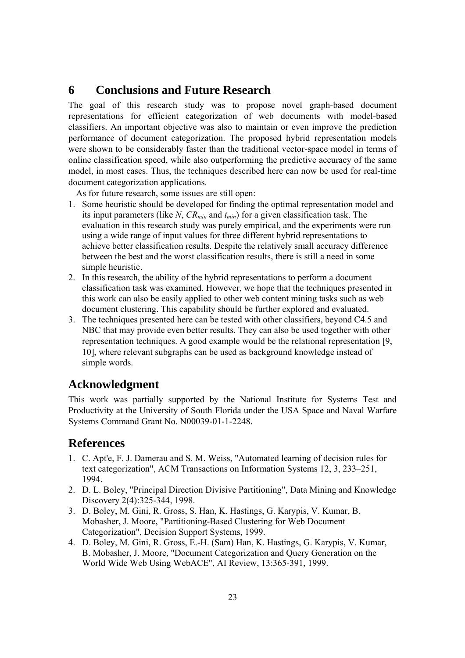# **6 Conclusions and Future Research**

The goal of this research study was to propose novel graph-based document representations for efficient categorization of web documents with model-based classifiers. An important objective was also to maintain or even improve the prediction performance of document categorization. The proposed hybrid representation models were shown to be considerably faster than the traditional vector-space model in terms of online classification speed, while also outperforming the predictive accuracy of the same model, in most cases. Thus, the techniques described here can now be used for real-time document categorization applications.

As for future research, some issues are still open:

- 1. Some heuristic should be developed for finding the optimal representation model and its input parameters (like *N*, *CRmin* and *tmin*) for a given classification task. The evaluation in this research study was purely empirical, and the experiments were run using a wide range of input values for three different hybrid representations to achieve better classification results. Despite the relatively small accuracy difference between the best and the worst classification results, there is still a need in some simple heuristic.
- 2. In this research, the ability of the hybrid representations to perform a document classification task was examined. However, we hope that the techniques presented in this work can also be easily applied to other web content mining tasks such as web document clustering. This capability should be further explored and evaluated.
- 3. The techniques presented here can be tested with other classifiers, beyond C4.5 and NBC that may provide even better results. They can also be used together with other representation techniques. A good example would be the relational representation [9, 10], where relevant subgraphs can be used as background knowledge instead of simple words.

# **Acknowledgment**

This work was partially supported by the National Institute for Systems Test and Productivity at the University of South Florida under the USA Space and Naval Warfare Systems Command Grant No. N00039-01-1-2248.

## **References**

- 1. C. Apt'e, F. J. Damerau and S. M. Weiss, "Automated learning of decision rules for text categorization", ACM Transactions on Information Systems 12, 3, 233–251, 1994.
- 2. D. L. Boley, "Principal Direction Divisive Partitioning", Data Mining and Knowledge Discovery 2(4):325-344, 1998.
- 3. D. Boley, M. Gini, R. Gross, S. Han, K. Hastings, G. Karypis, V. Kumar, B. Mobasher, J. Moore, "Partitioning-Based Clustering for Web Document Categorization", Decision Support Systems, 1999.
- 4. D. Boley, M. Gini, R. Gross, E.-H. (Sam) Han, K. Hastings, G. Karypis, V. Kumar, B. Mobasher, J. Moore, "Document Categorization and Query Generation on the World Wide Web Using WebACE", AI Review, 13:365-391, 1999.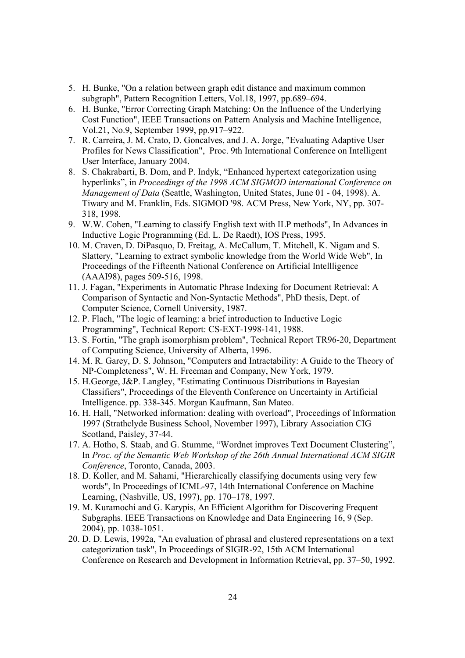- 5. H. Bunke, "On a relation between graph edit distance and maximum common subgraph", Pattern Recognition Letters, Vol.18, 1997, pp.689–694.
- 6. H. Bunke, "Error Correcting Graph Matching: On the Influence of the Underlying Cost Function", IEEE Transactions on Pattern Analysis and Machine Intelligence, Vol.21, No.9, September 1999, pp.917–922.
- 7. R. Carreira, J. M. Crato, D. Goncalves, and J. A. Jorge, "Evaluating Adaptive User Profiles for News Classification", Proc. 9th International Conference on Intelligent User Interface, January 2004.
- 8. S. Chakrabarti, B. Dom, and P. Indyk, "Enhanced hypertext categorization using hyperlinks", in *Proceedings of the 1998 ACM SIGMOD international Conference on Management of Data* (Seattle, Washington, United States, June 01 - 04, 1998). A. Tiwary and M. Franklin, Eds. SIGMOD '98. ACM Press, New York, NY, pp. 307- 318, 1998.
- 9. W.W. Cohen, "Learning to classify English text with ILP methods", In Advances in Inductive Logic Programming (Ed. L. De Raedt), IOS Press, 1995.
- 10. M. Craven, D. DiPasquo, D. Freitag, A. McCallum, T. Mitchell, K. Nigam and S. Slattery, "Learning to extract symbolic knowledge from the World Wide Web", In Proceedings of the Fifteenth National Conference on Artificial Intellligence (AAAI98), pages 509-516, 1998.
- 11. J. Fagan, "Experiments in Automatic Phrase Indexing for Document Retrieval: A Comparison of Syntactic and Non-Syntactic Methods", PhD thesis, Dept. of Computer Science, Cornell University, 1987.
- 12. P. Flach, "The logic of learning: a brief introduction to Inductive Logic Programming", Technical Report: CS-EXT-1998-141, 1988.
- 13. S. Fortin, "The graph isomorphism problem", Technical Report TR96-20, Department of Computing Science, University of Alberta, 1996.
- 14. M. R. Garey, D. S. Johnson, "Computers and Intractability: A Guide to the Theory of NP-Completeness", W. H. Freeman and Company, New York, 1979.
- 15. H.George, J&P. Langley, "Estimating Continuous Distributions in Bayesian Classifiers", Proceedings of the Eleventh Conference on Uncertainty in Artificial Intelligence. pp. 338-345. Morgan Kaufmann, San Mateo.
- 16. H. Hall, "Networked information: dealing with overload", Proceedings of Information 1997 (Strathclyde Business School, November 1997), Library Association CIG Scotland, Paisley, 37-44.
- 17. A. Hotho, S. Staab, and G. Stumme, "Wordnet improves Text Document Clustering", In *Proc. of the Semantic Web Workshop of the 26th Annual International ACM SIGIR Conference*, Toronto, Canada, 2003.
- 18. D. Koller, and M. Sahami, "Hierarchically classifying documents using very few words", In Proceedings of ICML-97, 14th International Conference on Machine Learning, (Nashville, US, 1997), pp. 170–178, 1997.
- 19. M. Kuramochi and G. Karypis, An Efficient Algorithm for Discovering Frequent Subgraphs. IEEE Transactions on Knowledge and Data Engineering 16, 9 (Sep. 2004), pp. 1038-1051.
- 20. D. D. Lewis, 1992a, "An evaluation of phrasal and clustered representations on a text categorization task", In Proceedings of SIGIR-92, 15th ACM International Conference on Research and Development in Information Retrieval, pp. 37–50, 1992.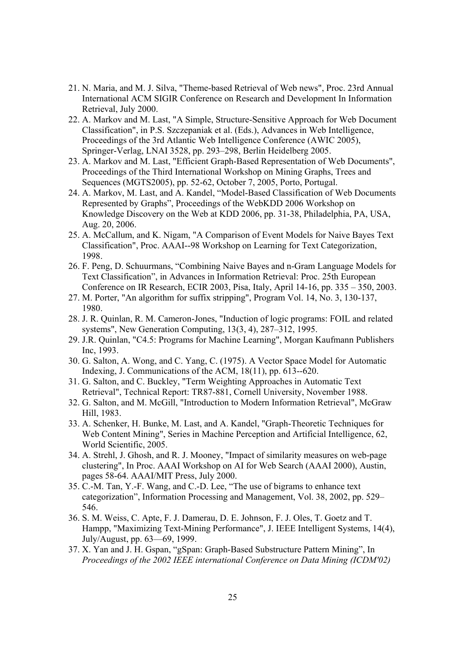- 21. N. Maria, and M. J. Silva, "Theme-based Retrieval of Web news", Proc. 23rd Annual International ACM SIGIR Conference on Research and Development In Information Retrieval, July 2000.
- 22. A. Markov and M. Last, "A Simple, Structure-Sensitive Approach for Web Document Classification", in P.S. Szczepaniak et al. (Eds.), Advances in Web Intelligence, Proceedings of the 3rd Atlantic Web Intelligence Conference (AWIC 2005), Springer-Verlag, LNAI 3528, pp. 293–298, Berlin Heidelberg 2005.
- 23. A. Markov and M. Last, "Efficient Graph-Based Representation of Web Documents", Proceedings of the Third International Workshop on Mining Graphs, Trees and Sequences (MGTS2005), pp. 52-62, October 7, 2005, Porto, Portugal.
- 24. A. Markov, M. Last, and A. Kandel, "Model-Based Classification of Web Documents Represented by Graphs", Proceedings of the WebKDD 2006 Workshop on Knowledge Discovery on the Web at KDD 2006, pp. 31-38, Philadelphia, PA, USA, Aug. 20, 2006.
- 25. A. McCallum, and K. Nigam, "A Comparison of Event Models for Naive Bayes Text Classification", Proc. AAAI--98 Workshop on Learning for Text Categorization, 1998.
- 26. F. Peng, D. Schuurmans, "Combining Naive Bayes and n-Gram Language Models for Text Classification", in Advances in Information Retrieval: Proc. 25th European Conference on IR Research, ECIR 2003, Pisa, Italy, April 14-16, pp. 335 – 350, 2003.
- 27. M. Porter, "An algorithm for suffix stripping", Program Vol. 14, No. 3, 130-137, 1980.
- 28. J. R. Quinlan, R. M. Cameron-Jones, "Induction of logic programs: FOIL and related systems", New Generation Computing, 13(3, 4), 287–312, 1995.
- 29. J.R. Quinlan, "C4.5: Programs for Machine Learning", Morgan Kaufmann Publishers Inc, 1993.
- 30. G. Salton, A. Wong, and C. Yang, C. (1975). A Vector Space Model for Automatic Indexing, J. Communications of the ACM, 18(11), pp. 613--620.
- 31. G. Salton, and C. Buckley, "Term Weighting Approaches in Automatic Text Retrieval", Technical Report: TR87-881, Cornell University, November 1988.
- 32. G. Salton, and M. McGill, "Introduction to Modern Information Retrieval", McGraw Hill, 1983.
- 33. A. Schenker, H. Bunke, M. Last, and A. Kandel, "Graph-Theoretic Techniques for Web Content Mining", Series in Machine Perception and Artificial Intelligence, 62, World Scientific, 2005.
- 34. A. Strehl, J. Ghosh, and R. J. Mooney, "Impact of similarity measures on web-page clustering", In Proc. AAAI Workshop on AI for Web Search (AAAI 2000), Austin, pages 58-64. AAAI/MIT Press, July 2000.
- 35. C.-M. Tan, Y.-F. Wang, and C.-D. Lee, "The use of bigrams to enhance text categorization", Information Processing and Management, Vol. 38, 2002, pp. 529– 546.
- 36. S. M. Weiss, C. Apte, F. J. Damerau, D. E. Johnson, F. J. Oles, T. Goetz and T. Hampp, "Maximizing Text-Mining Performance", J. IEEE Intelligent Systems, 14(4), July/August, pp. 63—69, 1999.
- 37. X. Yan and J. H. Gspan, "gSpan: Graph-Based Substructure Pattern Mining", In *Proceedings of the 2002 IEEE international Conference on Data Mining (ICDM'02)*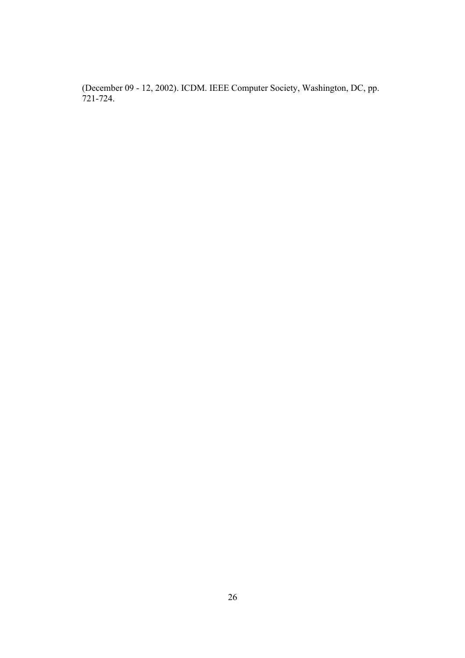(December 09 - 12, 2002). ICDM. IEEE Computer Society, Washington, DC, pp.  $721 - 724$ .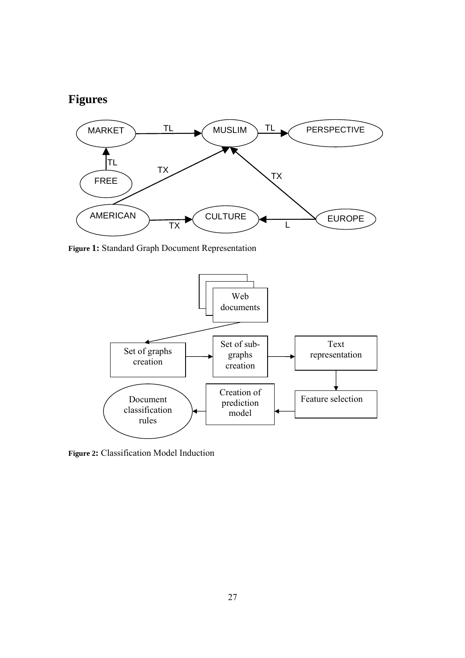# **Figures**



**Figure 1:** Standard Graph Document Representation



**Figure 2:** Classification Model Induction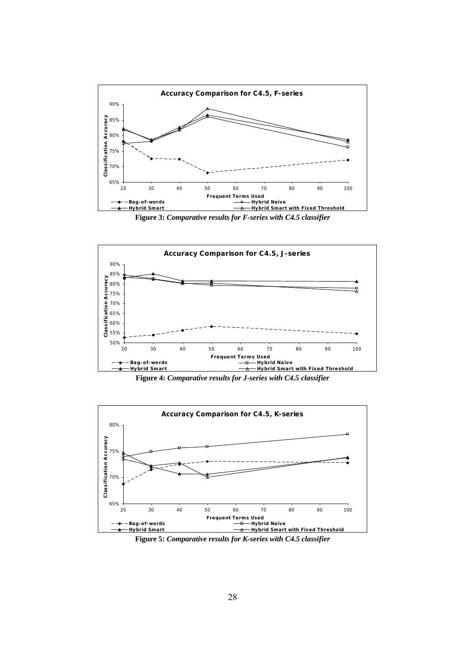





**Figure 4:** *Comparative results for J-series with C4.5 classifier*



**Figure 5:** *Comparative results for K-series with C4.5 classifier*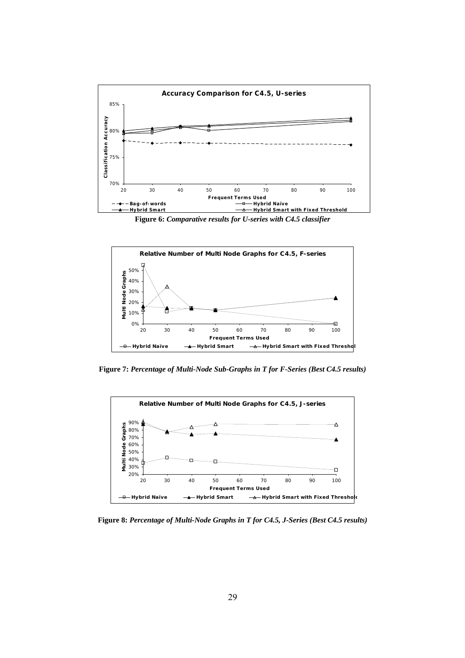

**Figure 6:** *Comparative results for U-series with C4.5 classifier*



**Figure 7:** *Percentage of Multi-Node Sub-Graphs in T for F-Series (Best C4.5 results)*



**Figure 8:** *Percentage of Multi-Node Graphs in T for C4.5, J-Series (Best C4.5 results)*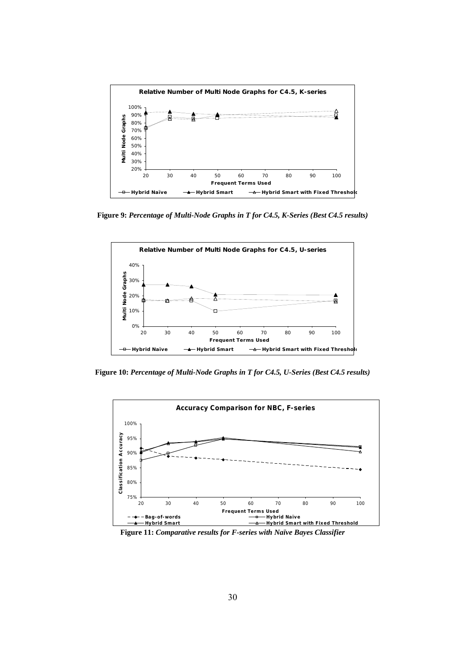

**Figure 9:** *Percentage of Multi-Node Graphs in T for C4.5, K-Series (Best C4.5 results)* 



**Figure 10:** *Percentage of Multi-Node Graphs in T for C4.5, U-Series (Best C4.5 results)* 



**Figure 11:** *Comparative results for F-series with Naïve Bayes Classifier*